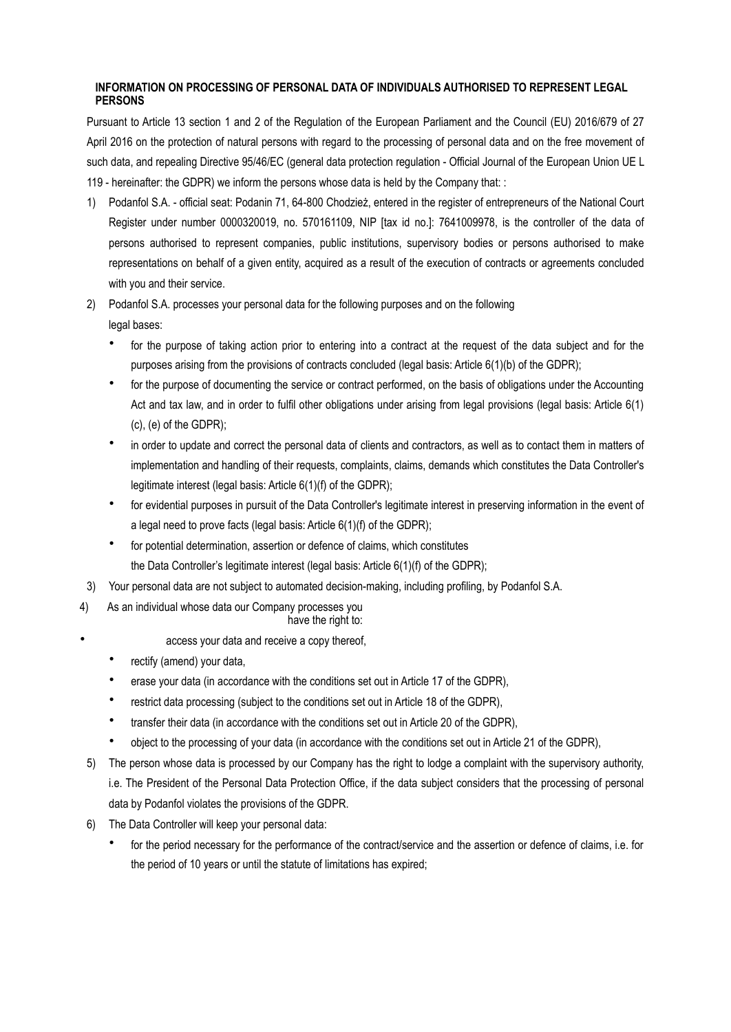## **INFORMATION ON PROCESSING OF PERSONAL DATA OF INDIVIDUALS AUTHORISED TO REPRESENT LEGAL PERSONS**

Pursuant to Article 13 section 1 and 2 of the Regulation of the European Parliament and the Council (EU) 2016/679 of 27 April 2016 on the protection of natural persons with regard to the processing of personal data and on the free movement of such data, and repealing Directive 95/46/EC (general data protection regulation - Official Journal of the European Union UE L 119 - hereinafter: the GDPR) we inform the persons whose data is held by the Company that: :

- 1) Podanfol S.A. official seat: Podanin 71, 64-800 Chodzież, entered in the register of entrepreneurs of the National Court Register under number 0000320019, no. 570161109, NIP [tax id no.]: 7641009978, is the controller of the data of persons authorised to represent companies, public institutions, supervisory bodies or persons authorised to make representations on behalf of a given entity, acquired as a result of the execution of contracts or agreements concluded with you and their service.
- 2) Podanfol S.A. processes your personal data for the following purposes and on the following legal bases:
	- for the purpose of taking action prior to entering into a contract at the request of the data subject and for the purposes arising from the provisions of contracts concluded (legal basis: Article 6(1)(b) of the GDPR);
	- for the purpose of documenting the service or contract performed, on the basis of obligations under the Accounting Act and tax law, and in order to fulfil other obligations under arising from legal provisions (legal basis: Article 6(1) (c), (e) of the GDPR);
	- in order to update and correct the personal data of clients and contractors, as well as to contact them in matters of implementation and handling of their requests, complaints, claims, demands which constitutes the Data Controller's legitimate interest (legal basis: Article 6(1)(f) of the GDPR);
	- for evidential purposes in pursuit of the Data Controller's legitimate interest in preserving information in the event of a legal need to prove facts (legal basis: Article 6(1)(f) of the GDPR);
	- for potential determination, assertion or defence of claims, which constitutes the Data Controller's legitimate interest (legal basis: Article 6(1)(f) of the GDPR);
- 3) Your personal data are not subject to automated decision-making, including profiling, by Podanfol S.A.
- 4) As an individual whose data our Company processes you
	- have the right to:
		- access your data and receive a copy thereof,
		- rectify (amend) your data,
		- erase your data (in accordance with the conditions set out in Article 17 of the GDPR),
		- restrict data processing (subject to the conditions set out in Article 18 of the GDPR),
		- transfer their data (in accordance with the conditions set out in Article 20 of the GDPR),
		- object to the processing of your data (in accordance with the conditions set out in Article 21 of the GDPR),
- 5) The person whose data is processed by our Company has the right to lodge a complaint with the supervisory authority, i.e. The President of the Personal Data Protection Office, if the data subject considers that the processing of personal data by Podanfol violates the provisions of the GDPR.
- 6) The Data Controller will keep your personal data:
	- for the period necessary for the performance of the contract/service and the assertion or defence of claims, i.e. for the period of 10 years or until the statute of limitations has expired;